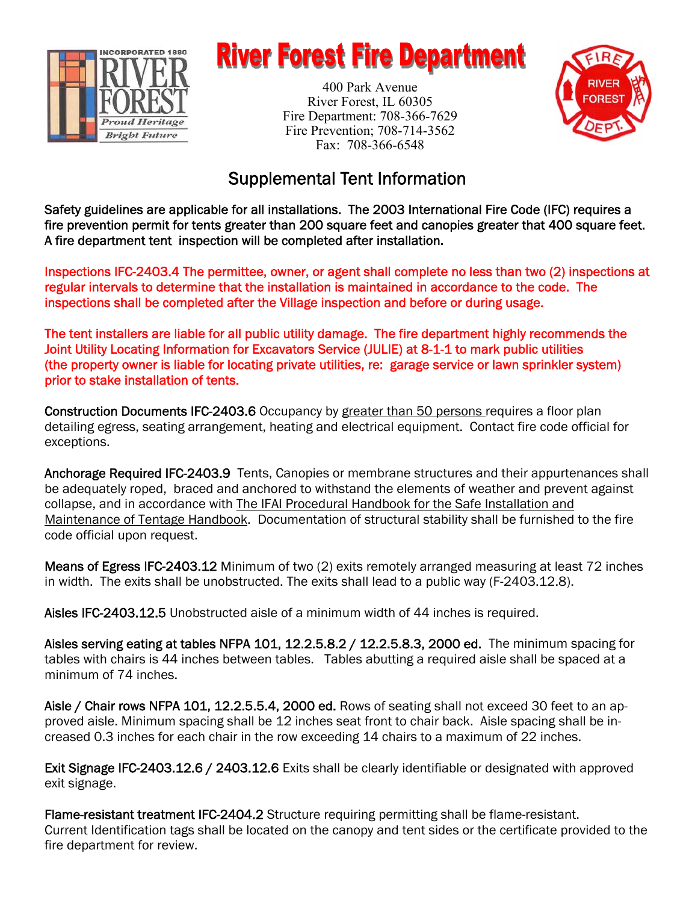

# **River Forest Fire Department**

400 Park Avenue River Forest, IL 60305 Fire Department: 708-366-7629 Fire Prevention; 708-714-3562 Fax: 708-366-6548



## Supplemental Tent Information

Safety guidelines are applicable for all installations. The 2003 International Fire Code (IFC) requires a fire prevention permit for tents greater than 200 square feet and canopies greater that 400 square feet. A fire department tent inspection will be completed after installation.

Inspections IFC-2403.4 The permittee, owner, or agent shall complete no less than two (2) inspections at regular intervals to determine that the installation is maintained in accordance to the code. The inspections shall be completed after the Village inspection and before or during usage.

The tent installers are liable for all public utility damage. The fire department highly recommends the Joint Utility Locating Information for Excavators Service (JULIE) at 8-1-1 to mark public utilities (the property owner is liable for locating private utilities, re: garage service or lawn sprinkler system) prior to stake installation of tents.

Construction Documents IFC-2403.6 Occupancy by greater than 50 persons requires a floor plan detailing egress, seating arrangement, heating and electrical equipment. Contact fire code official for exceptions.

Anchorage Required IFC-2403.9 Tents, Canopies or membrane structures and their appurtenances shall be adequately roped, braced and anchored to withstand the elements of weather and prevent against collapse, and in accordance with The IFAI Procedural Handbook for the Safe Installation and Maintenance of Tentage Handbook. Documentation of structural stability shall be furnished to the fire code official upon request.

Means of Egress IFC-2403.12 Minimum of two (2) exits remotely arranged measuring at least 72 inches in width. The exits shall be unobstructed. The exits shall lead to a public way (F-2403.12.8).

Aisles IFC-2403.12.5 Unobstructed aisle of a minimum width of 44 inches is required.

Aisles serving eating at tables NFPA 101, 12.2.5.8.2 / 12.2.5.8.3, 2000 ed. The minimum spacing for tables with chairs is 44 inches between tables. Tables abutting a required aisle shall be spaced at a minimum of 74 inches.

Aisle / Chair rows NFPA 101, 12.2.5.5.4, 2000 ed. Rows of seating shall not exceed 30 feet to an approved aisle. Minimum spacing shall be 12 inches seat front to chair back. Aisle spacing shall be increased 0.3 inches for each chair in the row exceeding 14 chairs to a maximum of 22 inches.

Exit Signage IFC-2403.12.6 / 2403.12.6 Exits shall be clearly identifiable or designated with approved exit signage.

Flame-resistant treatment IFC-2404.2 Structure requiring permitting shall be flame-resistant. Current Identification tags shall be located on the canopy and tent sides or the certificate provided to the fire department for review.